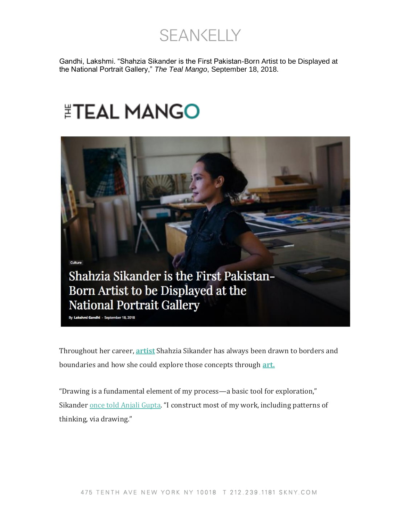**SEANKELLY** 

Gandhi, Lakshmi. "Shahzia Sikander is the First Pakistan-Born Artist to be Displayed at the National Portrait Gallery," *The Teal Mango*, September 18, 2018.

## **ETEAL MANGO**



Throughout her career, **[artist](https://www.thetealmango.com/culture/paper-samosas-simmi-patel-on-the-inspirations-behind-her-art/)** Shahzia Sikander has always been drawn to borders and boundaries and how she could explore those concepts through **[art.](https://www.thetealmango.com/entertainment/mean-girls-favorite-rajiv-surendra-is-now-a-pro-calligrapher/)**

"Drawing is a fundamental element of my process—a basic tool for exploration," Sikander [once told Anjali Gupta](http://www.lindapacefoundation.org/Shahzia-Sikander-interview.php). "I construct most of my work, including patterns of thinking, via drawing."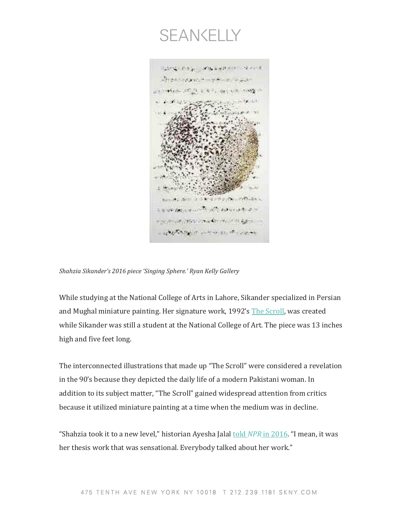



*Shahzia Sikander's 2016 piece 'Singing Sphere.' Ryan Kelly Gallery*

While studying at the National College of Arts in Lahore, Sikander specialized in Persian and Mughal miniature painting. Her signature work, 1992's [The Scroll,](https://asiasociety.org/hong-kong/events/discipline-apprenticeship-conversation-between-shahzia-sikander-and-professor-bashi) was created while Sikander was still a student at the National College of Art. The piece was 13 inches high and five feet long.

The interconnected illustrations that made up "The Scroll" were considered a revelation in the 90's because they depicted the daily life of a modern Pakistani woman. In addition to its subject matter, "The Scroll" gained widespread attention from critics because it utilized miniature painting at a time when the medium was in decline.

"Shahzia took it to a new level," historian Ayesha Jalal told *NPR* [in 2016](https://www.npr.org/2015/10/02/445291163/breaking-the-mold-artists-modern-miniatures-remix-islamic-art). "I mean, it was her thesis work that was sensational. Everybody talked about her work."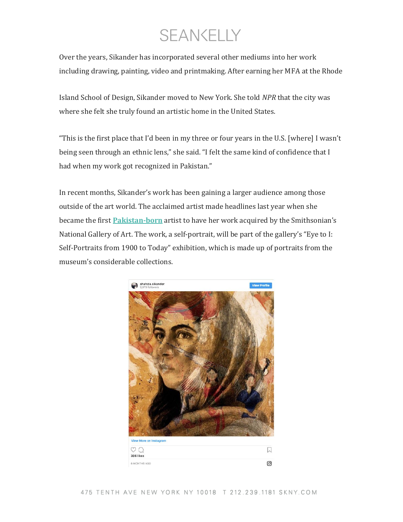## SEANKELLY

Over the years, Sikander has incorporated several other mediums into her work including drawing, painting, video and printmaking. After earning her MFA at the Rhode

Island School of Design, Sikander moved to New York. She told *NPR* that the city was where she felt she truly found an artistic home in the United States.

"This is the first place that I'd been in my three or four years in the U.S. [where] I wasn't being seen through an ethnic lens," she said. "I felt the same kind of confidence that I had when my work got recognized in Pakistan."

In recent months, Sikander's work has been gaining a larger audience among those outside of the art world. The acclaimed artist made headlines last year when she became the first **[Pakistan-born](https://www.thetealmango.com/latest/pakistani-women-deserve-recognition/)** artist to have her work acquired by the Smithsonian's National Gallery of Art. The work, a self-portrait, will be part of the gallery's "Eye to I: Self-Portraits from 1900 to Today" exhibition, which is made up of portraits from the museum's considerable collections.